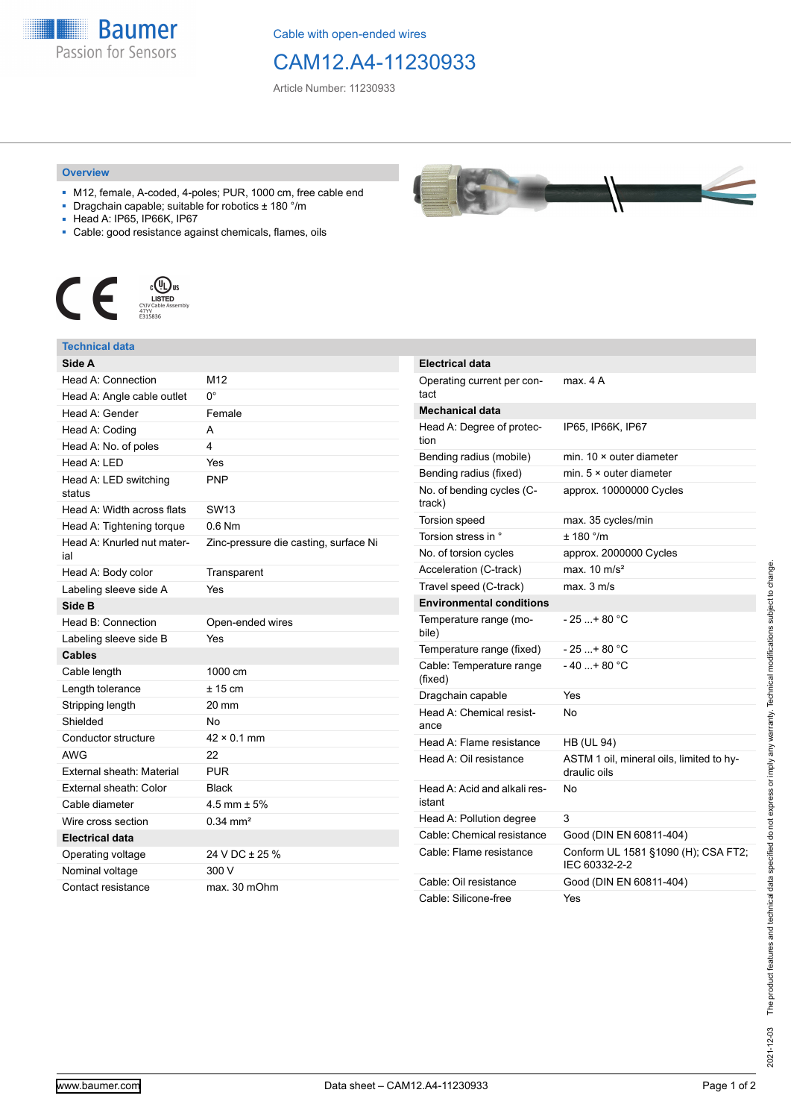**Baumer** Passion for Sensors

Cable with open-ended wires

## CAM12.A4-11230933

Article Number: 11230933

## **Overview**

- M12, female, A-coded, 4-poles; PUR, 1000 cm, free cable end
- Dragchain capable; suitable for robotics ± 180 °/m
- Head A: IP65, IP66K, IP67
- Cable: good resistance against chemicals, flames, oils



## **Technical data**

| Side A                            |                                       |
|-----------------------------------|---------------------------------------|
| Head A: Connection                | M <sub>12</sub>                       |
| Head A: Angle cable outlet        | U.                                    |
| Head A: Gender                    | Female                                |
| Head A: Coding                    | A                                     |
| Head A: No. of poles              | 4                                     |
| Head A: LED                       | Yes                                   |
| Head A: LED switching<br>status   | <b>PNP</b>                            |
| Head A: Width across flats        | SW <sub>13</sub>                      |
| Head A: Tightening torque         | $0.6$ Nm                              |
| Head A: Knurled nut mater-<br>ial | Zinc-pressure die casting, surface Ni |
| Head A: Body color                | Transparent                           |
| Labeling sleeve side A            | Yes                                   |
| Side B                            |                                       |
| Head B: Connection                | Open-ended wires                      |
| Labeling sleeve side B            | Yes                                   |
| <b>Cables</b>                     |                                       |
| Cable length                      | 1000 cm                               |
| Length tolerance                  | $± 15$ cm                             |
| Stripping length                  | 20 mm                                 |
| Shielded                          | No                                    |
| Conductor structure               | $42 \times 0.1$ mm                    |
| <b>AWG</b>                        | 22                                    |
| External sheath: Material         | PUR                                   |
| External sheath: Color            | <b>Black</b>                          |
| Cable diameter                    | 4.5 mm $\pm$ 5%                       |
| Wire cross section                | $0.34 \, \text{mm}^2$                 |
| <b>Electrical data</b>            |                                       |
| Operating voltage                 | 24 V DC ± 25 %                        |
| Nominal voltage                   | 300 V                                 |
| Contact resistance                | max. 30 mOhm                          |

| <b>Electrical data</b>                 |                                                          |
|----------------------------------------|----------------------------------------------------------|
| Operating current per con-<br>tact     | max. 4 A                                                 |
| <b>Mechanical data</b>                 |                                                          |
| Head A: Degree of protec-<br>tion      | IP65, IP66K, IP67                                        |
| Bending radius (mobile)                | min. $10 \times$ outer diameter                          |
| Bending radius (fixed)                 | min. $5 \times$ outer diameter                           |
| No. of bending cycles (C-<br>track)    | approx. 10000000 Cycles                                  |
| Torsion speed                          | max. 35 cycles/min                                       |
| Torsion stress in °                    | ± 180 °/m                                                |
| No. of torsion cycles                  | approx. 2000000 Cycles                                   |
| Acceleration (C-track)                 | max. $10 \text{ m/s}^2$                                  |
| Travel speed (C-track)                 | $max$ 3 m/s                                              |
| <b>Environmental conditions</b>        |                                                          |
| Temperature range (mo-<br>bile)        | - 25 + 80 °C                                             |
| Temperature range (fixed)              | $-25+80 °C$                                              |
| Cable: Temperature range<br>(fixed)    | $-40+80 °C$                                              |
| Dragchain capable                      | Yes                                                      |
| Head A: Chemical resist-<br>ance       | No                                                       |
| Head A: Flame resistance               | <b>HB (UL 94)</b>                                        |
| Head A: Oil resistance                 | ASTM 1 oil, mineral oils, limited to hy-<br>draulic oils |
| Head A: Acid and alkali res-<br>istant | No                                                       |
| Head A: Pollution degree               | 3                                                        |
| Cable: Chemical resistance             | Good (DIN EN 60811-404)                                  |
| Cable: Flame resistance                | Conform UL 1581 §1090 (H); CSA FT2;<br>IEC 60332-2-2     |
| Cable: Oil resistance                  | Good (DIN EN 60811-404)                                  |
| Cable: Silicone-free                   | Yes                                                      |